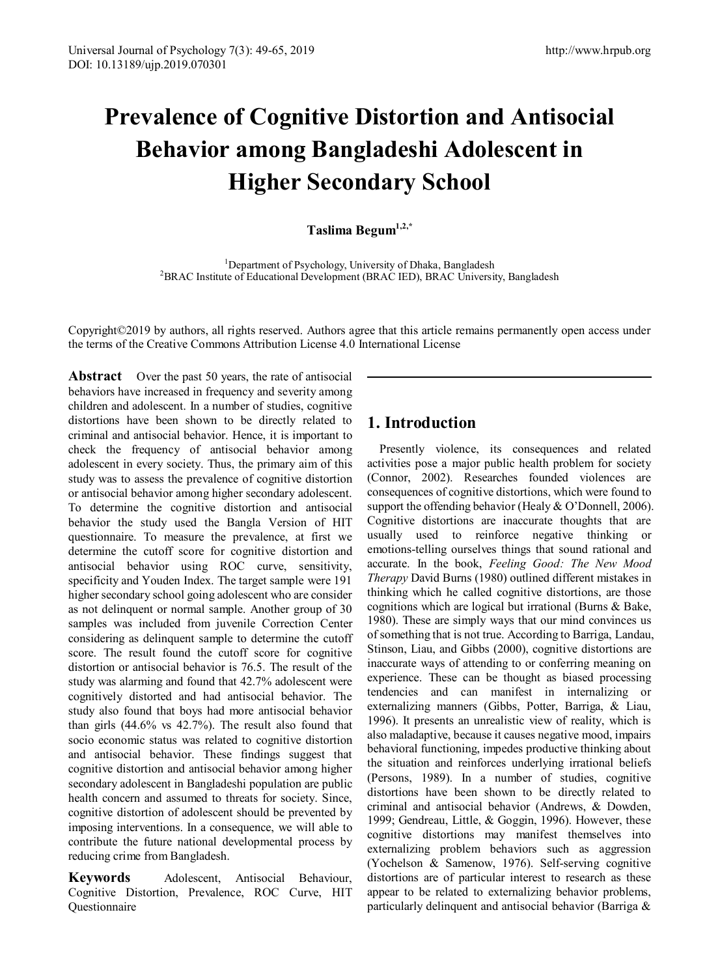# **Prevalence of Cognitive Distortion and Antisocial Behavior among Bangladeshi Adolescent in Higher Secondary School**

**Taslima Begum1,2,\***

<sup>1</sup> Department of Psychology, University of Dhaka, Bangladesh<br><sup>2</sup>BRAC Institute of Educational Development (BRAC IED), BRAC University <sup>2</sup>BRAC Institute of Educational Development (BRAC IED), BRAC University, Bangladesh

Copyright©2019 by authors, all rights reserved. Authors agree that this article remains permanently open access under the terms of the Creative Commons Attribution License 4.0 International License

**Abstract** Over the past 50 years, the rate of antisocial behaviors have increased in frequency and severity among children and adolescent. In a number of studies, cognitive distortions have been shown to be directly related to criminal and antisocial behavior. Hence, it is important to check the frequency of antisocial behavior among adolescent in every society. Thus, the primary aim of this study was to assess the prevalence of cognitive distortion or antisocial behavior among higher secondary adolescent. To determine the cognitive distortion and antisocial behavior the study used the Bangla Version of HIT questionnaire. To measure the prevalence, at first we determine the cutoff score for cognitive distortion and antisocial behavior using ROC curve, sensitivity, specificity and Youden Index. The target sample were 191 higher secondary school going adolescent who are consider as not delinquent or normal sample. Another group of 30 samples was included from juvenile Correction Center considering as delinquent sample to determine the cutoff score. The result found the cutoff score for cognitive distortion or antisocial behavior is 76.5. The result of the study was alarming and found that 42.7% adolescent were cognitively distorted and had antisocial behavior. The study also found that boys had more antisocial behavior than girls (44.6% vs 42.7%). The result also found that socio economic status was related to cognitive distortion and antisocial behavior. These findings suggest that cognitive distortion and antisocial behavior among higher secondary adolescent in Bangladeshi population are public health concern and assumed to threats for society. Since, cognitive distortion of adolescent should be prevented by imposing interventions. In a consequence, we will able to contribute the future national developmental process by reducing crime from Bangladesh.

**Keywords** Adolescent, Antisocial Behaviour, Cognitive Distortion, Prevalence, ROC Curve, HIT Questionnaire

## **1. Introduction**

Presently violence, its consequences and related activities pose a major public health problem for society (Connor, 2002). Researches founded violences are consequences of cognitive distortions, which were found to support the offending behavior (Healy & O'Donnell, 2006). Cognitive distortions are inaccurate thoughts that are usually used to reinforce negative thinking or emotions-telling ourselves things that sound rational and accurate. In the book, *Feeling Good: The New Mood Therapy* David Burns (1980) outlined different mistakes in thinking which he called cognitive distortions, are those cognitions which are logical but irrational (Burns & Bake, 1980). These are simply ways that our mind convinces us of something that is not true. According to Barriga, Landau, Stinson, Liau, and Gibbs (2000), cognitive distortions are inaccurate ways of attending to or conferring meaning on experience. These can be thought as biased processing tendencies and can manifest in internalizing or externalizing manners (Gibbs, Potter, Barriga, & Liau, 1996). It presents an unrealistic view of reality, which is also maladaptive, because it causes negative mood, impairs behavioral functioning, impedes productive thinking about the situation and reinforces underlying irrational beliefs (Persons, 1989). In a number of studies, cognitive distortions have been shown to be directly related to criminal and antisocial behavior (Andrews, & Dowden, 1999; Gendreau, Little, & Goggin, 1996). However, these cognitive distortions may manifest themselves into externalizing problem behaviors such as aggression (Yochelson & Samenow, 1976). Self-serving cognitive distortions are of particular interest to research as these appear to be related to externalizing behavior problems, particularly delinquent and antisocial behavior (Barriga &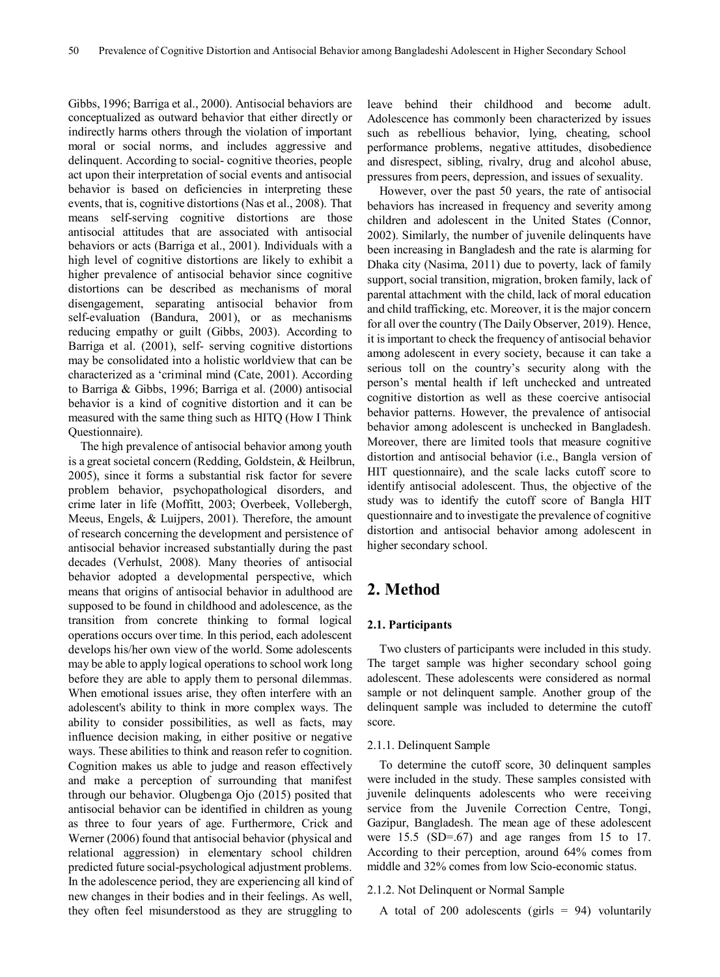Gibbs, 1996; Barriga et al., 2000). Antisocial behaviors are conceptualized as outward behavior that either directly or indirectly harms others through the violation of important moral or social norms, and includes aggressive and delinquent. According to social- cognitive theories, people act upon their interpretation of social events and antisocial behavior is based on deficiencies in interpreting these events, that is, cognitive distortions (Nas et al., 2008). That means self-serving cognitive distortions are those antisocial attitudes that are associated with antisocial behaviors or acts (Barriga et al., 2001). Individuals with a high level of cognitive distortions are likely to exhibit a higher prevalence of antisocial behavior since cognitive distortions can be described as mechanisms of moral disengagement, separating antisocial behavior from self-evaluation (Bandura, 2001), or as mechanisms reducing empathy or guilt (Gibbs, 2003). According to Barriga et al. (2001), self- serving cognitive distortions may be consolidated into a holistic worldview that can be characterized as a 'criminal mind (Cate, 2001). According to Barriga & Gibbs, 1996; Barriga et al. (2000) antisocial behavior is a kind of cognitive distortion and it can be measured with the same thing such as HITQ (How I Think Questionnaire).

The high prevalence of antisocial behavior among youth is a great societal concern (Redding, Goldstein, & Heilbrun, 2005), since it forms a substantial risk factor for severe problem behavior, psychopathological disorders, and crime later in life (Moffitt, 2003; Overbeek, Vollebergh, Meeus, Engels, & Luijpers, 2001). Therefore, the amount of research concerning the development and persistence of antisocial behavior increased substantially during the past decades (Verhulst, 2008). Many theories of antisocial behavior adopted a developmental perspective, which means that origins of antisocial behavior in adulthood are supposed to be found in childhood and adolescence, as the transition from concrete thinking to formal logical operations occurs over time. In this period, each adolescent develops his/her own view of the world. Some adolescents may be able to apply logical operations to school work long before they are able to apply them to personal dilemmas. When emotional issues arise, they often interfere with an adolescent's ability to think in more complex ways. The ability to consider possibilities, as well as facts, may influence decision making, in either positive or negative ways. These abilities to think and reason refer to cognition. Cognition makes us able to judge and reason effectively and make a perception of surrounding that manifest through our behavior. Olugbenga Ojo (2015) posited that antisocial behavior can be identified in children as young as three to four years of age. Furthermore, Crick and Werner (2006) found that antisocial behavior (physical and relational aggression) in elementary school children predicted future social-psychological adjustment problems. In the adolescence period, they are experiencing all kind of new changes in their bodies and in their feelings. As well, they often feel misunderstood as they are struggling to

leave behind their childhood and become adult. Adolescence has commonly been characterized by issues such as rebellious behavior, lying, cheating, school performance problems, negative attitudes, disobedience and disrespect, sibling, rivalry, drug and alcohol abuse, pressures from peers, depression, and issues of sexuality.

However, over the past 50 years, the rate of antisocial behaviors has increased in frequency and severity among children and adolescent in the United States (Connor, 2002). Similarly, the number of juvenile delinquents have been increasing in Bangladesh and the rate is alarming for Dhaka city (Nasima, 2011) due to poverty, lack of family support, social transition, migration, broken family, lack of parental attachment with the child, lack of moral education and child trafficking, etc. Moreover, it is the major concern for all over the country (The Daily Observer, 2019). Hence, it is important to check the frequency of antisocial behavior among adolescent in every society, because it can take a serious toll on the country's security along with the person's mental health if left unchecked and untreated cognitive distortion as well as these coercive antisocial behavior patterns. However, the prevalence of antisocial behavior among adolescent is unchecked in Bangladesh. Moreover, there are limited tools that measure cognitive distortion and antisocial behavior (i.e., Bangla version of HIT questionnaire), and the scale lacks cutoff score to identify antisocial adolescent. Thus, the objective of the study was to identify the cutoff score of Bangla HIT questionnaire and to investigate the prevalence of cognitive distortion and antisocial behavior among adolescent in higher secondary school.

## **2. Method**

#### **2.1. Participants**

Two clusters of participants were included in this study. The target sample was higher secondary school going adolescent. These adolescents were considered as normal sample or not delinquent sample. Another group of the delinquent sample was included to determine the cutoff score.

#### 2.1.1. Delinquent Sample

To determine the cutoff score, 30 delinquent samples were included in the study. These samples consisted with juvenile delinquents adolescents who were receiving service from the Juvenile Correction Centre, Tongi, Gazipur, Bangladesh. The mean age of these adolescent were  $15.5$  (SD=.67) and age ranges from 15 to 17. According to their perception, around 64% comes from middle and 32% comes from low Scio-economic status.

#### 2.1.2. Not Delinquent or Normal Sample

A total of 200 adolescents (girls  $= 94$ ) voluntarily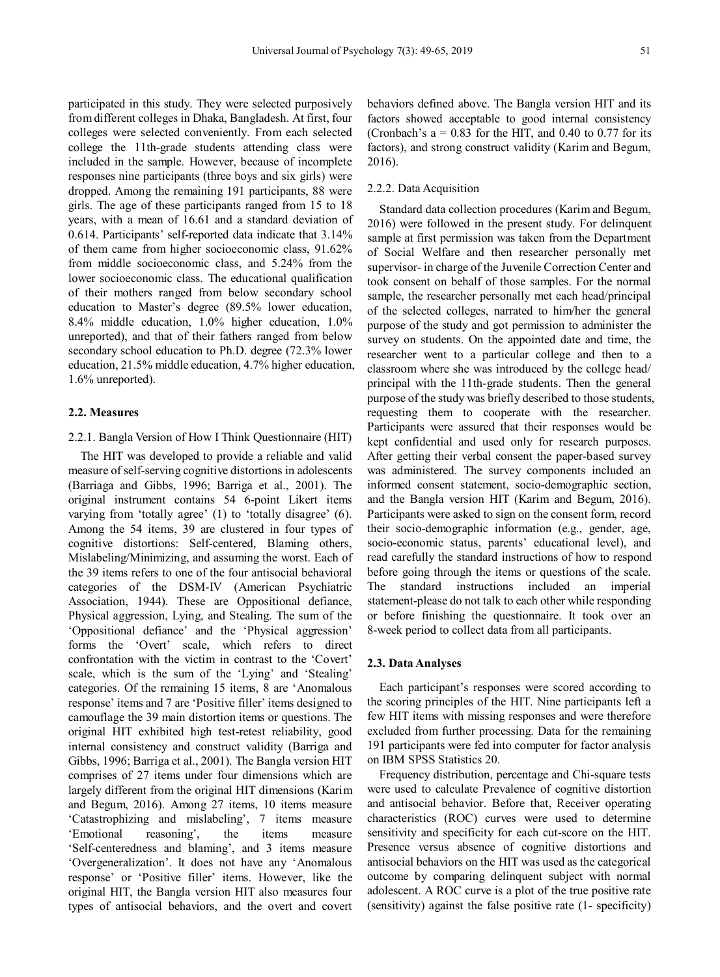participated in this study. They were selected purposively from different colleges in Dhaka, Bangladesh. At first, four colleges were selected conveniently. From each selected college the 11th-grade students attending class were included in the sample. However, because of incomplete responses nine participants (three boys and six girls) were dropped. Among the remaining 191 participants, 88 were girls. The age of these participants ranged from 15 to 18 years, with a mean of 16.61 and a standard deviation of 0.614. Participants' self-reported data indicate that 3.14% of them came from higher socioeconomic class, 91.62% from middle socioeconomic class, and 5.24% from the lower socioeconomic class. The educational qualification of their mothers ranged from below secondary school education to Master's degree (89.5% lower education, 8.4% middle education, 1.0% higher education, 1.0% unreported), and that of their fathers ranged from below secondary school education to Ph.D. degree (72.3% lower education, 21.5% middle education, 4.7% higher education, 1.6% unreported).

#### **2.2. Measures**

#### 2.2.1. Bangla Version of How I Think Questionnaire (HIT)

The HIT was developed to provide a reliable and valid measure of self-serving cognitive distortions in adolescents (Barriaga and Gibbs, 1996; Barriga et al., 2001). The original instrument contains 54 6-point Likert items varying from 'totally agree' (1) to 'totally disagree' (6). Among the 54 items, 39 are clustered in four types of cognitive distortions: Self-centered, Blaming others, Mislabeling/Minimizing, and assuming the worst. Each of the 39 items refers to one of the four antisocial behavioral categories of the DSM-IV (American Psychiatric Association, 1944). These are Oppositional defiance, Physical aggression, Lying, and Stealing. The sum of the 'Oppositional defiance' and the 'Physical aggression' forms the 'Overt' scale, which refers to direct confrontation with the victim in contrast to the 'Covert' scale, which is the sum of the 'Lying' and 'Stealing' categories. Of the remaining 15 items, 8 are 'Anomalous response' items and 7 are 'Positive filler' items designed to camouflage the 39 main distortion items or questions. The original HIT exhibited high test-retest reliability, good internal consistency and construct validity (Barriga and Gibbs, 1996; Barriga et al., 2001). The Bangla version HIT comprises of 27 items under four dimensions which are largely different from the original HIT dimensions (Karim and Begum, 2016). Among 27 items, 10 items measure 'Catastrophizing and mislabeling', 7 items measure 'Emotional reasoning', the items measure 'Self-centeredness and blaming', and 3 items measure 'Overgeneralization'. It does not have any 'Anomalous response' or 'Positive filler' items. However, like the original HIT, the Bangla version HIT also measures four types of antisocial behaviors, and the overt and covert

behaviors defined above. The Bangla version HIT and its factors showed acceptable to good internal consistency (Cronbach's  $a = 0.83$  for the HIT, and 0.40 to 0.77 for its factors), and strong construct validity (Karim and Begum, 2016).

#### 2.2.2. Data Acquisition

Standard data collection procedures (Karim and Begum, 2016) were followed in the present study. For delinquent sample at first permission was taken from the Department of Social Welfare and then researcher personally met supervisor- in charge of the Juvenile Correction Center and took consent on behalf of those samples. For the normal sample, the researcher personally met each head/principal of the selected colleges, narrated to him/her the general purpose of the study and got permission to administer the survey on students. On the appointed date and time, the researcher went to a particular college and then to a classroom where she was introduced by the college head/ principal with the 11th-grade students. Then the general purpose of the study was briefly described to those students, requesting them to cooperate with the researcher. Participants were assured that their responses would be kept confidential and used only for research purposes. After getting their verbal consent the paper-based survey was administered. The survey components included an informed consent statement, socio-demographic section, and the Bangla version HIT (Karim and Begum, 2016). Participants were asked to sign on the consent form, record their socio-demographic information (e.g., gender, age, socio-economic status, parents' educational level), and read carefully the standard instructions of how to respond before going through the items or questions of the scale. The standard instructions included an imperial statement-please do not talk to each other while responding or before finishing the questionnaire. It took over an 8-week period to collect data from all participants.

#### **2.3. Data Analyses**

Each participant's responses were scored according to the scoring principles of the HIT. Nine participants left a few HIT items with missing responses and were therefore excluded from further processing. Data for the remaining 191 participants were fed into computer for factor analysis on IBM SPSS Statistics 20.

Frequency distribution, percentage and Chi-square tests were used to calculate Prevalence of cognitive distortion and antisocial behavior. Before that, Receiver operating characteristics (ROC) curves were used to determine sensitivity and specificity for each cut-score on the HIT. Presence versus absence of cognitive distortions and antisocial behaviors on the HIT was used as the categorical outcome by comparing delinquent subject with normal adolescent. A ROC curve is a plot of the true positive rate (sensitivity) against the false positive rate (1- specificity)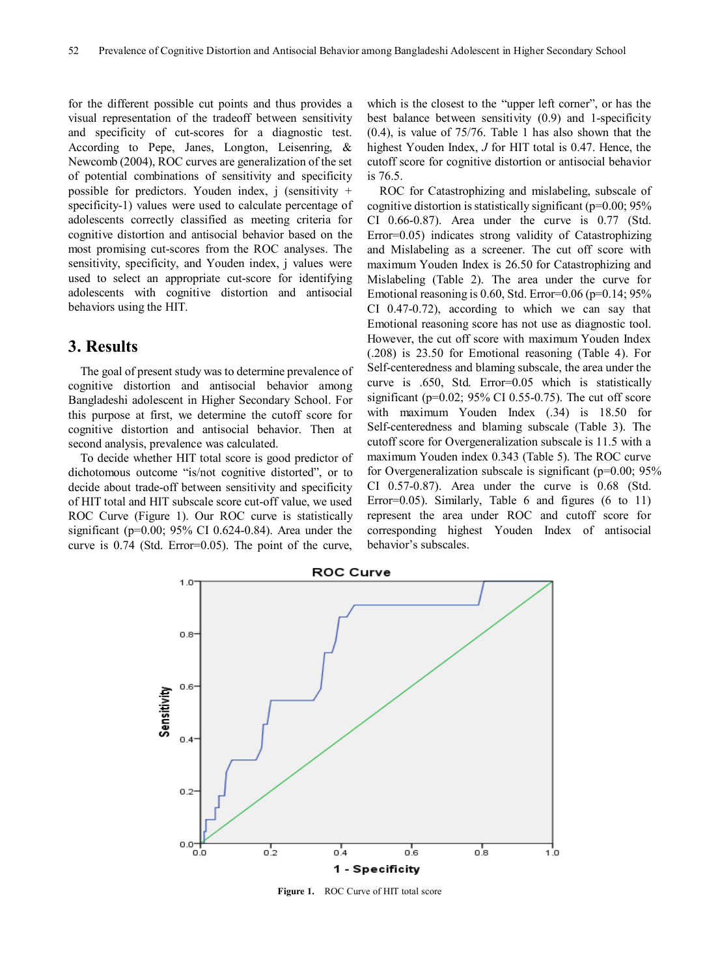for the different possible cut points and thus provides a visual representation of the tradeoff between sensitivity and specificity of cut-scores for a diagnostic test. According to Pepe, Janes, Longton, Leisenring, & Newcomb (2004), ROC curves are generalization of the set of potential combinations of sensitivity and specificity possible for predictors. Youden index,  $j$  (sensitivity + specificity-1) values were used to calculate percentage of adolescents correctly classified as meeting criteria for cognitive distortion and antisocial behavior based on the most promising cut-scores from the ROC analyses. The sensitivity, specificity, and Youden index, j values were used to select an appropriate cut-score for identifying adolescents with cognitive distortion and antisocial behaviors using the HIT.

### **3. Results**

The goal of present study was to determine prevalence of cognitive distortion and antisocial behavior among Bangladeshi adolescent in Higher Secondary School. For this purpose at first, we determine the cutoff score for cognitive distortion and antisocial behavior. Then at second analysis, prevalence was calculated.

To decide whether HIT total score is good predictor of dichotomous outcome "is/not cognitive distorted", or to decide about trade-off between sensitivity and specificity of HIT total and HIT subscale score cut-off value, we used ROC Curve (Figure 1). Our ROC curve is statistically significant (p=0.00; 95% CI 0.624-0.84). Area under the curve is 0.74 (Std. Error=0.05). The point of the curve,

which is the closest to the "upper left corner", or has the best balance between sensitivity (0.9) and 1-specificity (0.4), is value of 75/76. Table 1 has also shown that the highest Youden Index, *J* for HIT total is 0.47. Hence, the cutoff score for cognitive distortion or antisocial behavior is 76.5.

ROC for Catastrophizing and mislabeling, subscale of cognitive distortion is statistically significant ( $p=0.00$ ;  $95\%$ ) CI 0.66-0.87). Area under the curve is 0.77 (Std. Error=0.05) indicates strong validity of Catastrophizing and Mislabeling as a screener. The cut off score with maximum Youden Index is 26.50 for Catastrophizing and Mislabeling (Table 2). The area under the curve for Emotional reasoning is  $0.60$ , Std. Error= $0.06$  (p= $0.14$ ;  $95\%$ ) CI 0.47-0.72), according to which we can say that Emotional reasoning score has not use as diagnostic tool. However, the cut off score with maximum Youden Index (.208) is 23.50 for Emotional reasoning (Table 4). For Self-centeredness and blaming subscale, the area under the curve is .650, Std. Error=0.05 which is statistically significant (p=0.02; 95% CI 0.55-0.75). The cut off score with maximum Youden Index (.34) is 18.50 for Self-centeredness and blaming subscale (Table 3). The cutoff score for Overgeneralization subscale is 11.5 with a maximum Youden index 0.343 (Table 5). The ROC curve for Overgeneralization subscale is significant (p=0.00; 95% CI 0.57-0.87). Area under the curve is 0.68 (Std. Error=0.05). Similarly, Table 6 and figures (6 to 11) represent the area under ROC and cutoff score for corresponding highest Youden Index of antisocial behavior's subscales.



**Figure 1.** ROC Curve of HIT total score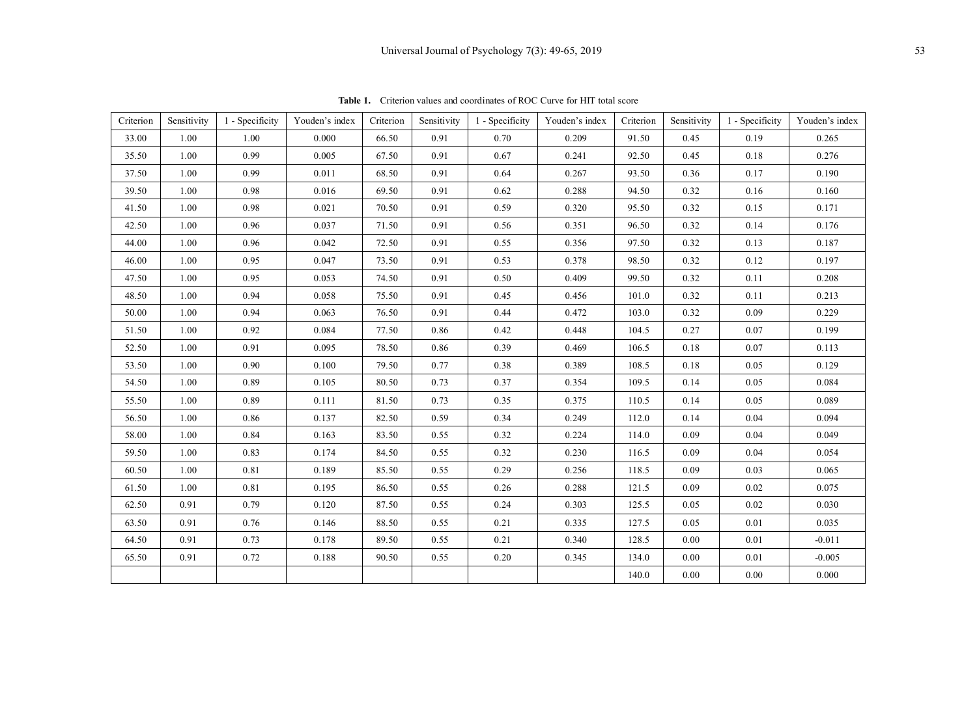| Criterion | Sensitivity | 1 - Specificity | Youden's index | Criterion | Sensitivity | 1 - Specificity | Youden's index | Criterion | Sensitivity | 1 - Specificity | Youden's index |
|-----------|-------------|-----------------|----------------|-----------|-------------|-----------------|----------------|-----------|-------------|-----------------|----------------|
| 33.00     | 1.00        | 1.00            | 0.000          | 66.50     | 0.91        | 0.70            | 0.209          | 91.50     | 0.45        | 0.19            | 0.265          |
| 35.50     | 1.00        | 0.99            | 0.005          | 67.50     | 0.91        | 0.67            | 0.241          | 92.50     | 0.45        | 0.18            | 0.276          |
| 37.50     | 1.00        | 0.99            | 0.011          | 68.50     | 0.91        | 0.64            | 0.267          | 93.50     | 0.36        | 0.17            | 0.190          |
| 39.50     | 1.00        | 0.98            | 0.016          | 69.50     | 0.91        | 0.62            | 0.288          | 94.50     | 0.32        | 0.16            | 0.160          |
| 41.50     | 1.00        | 0.98            | 0.021          | 70.50     | 0.91        | 0.59            | 0.320          | 95.50     | 0.32        | 0.15            | 0.171          |
| 42.50     | 1.00        | 0.96            | 0.037          | 71.50     | 0.91        | 0.56            | 0.351          | 96.50     | 0.32        | 0.14            | 0.176          |
| 44.00     | 1.00        | 0.96            | 0.042          | 72.50     | 0.91        | 0.55            | 0.356          | 97.50     | 0.32        | 0.13            | 0.187          |
| 46.00     | 1.00        | 0.95            | 0.047          | 73.50     | 0.91        | 0.53            | 0.378          | 98.50     | 0.32        | 0.12            | 0.197          |
| 47.50     | 1.00        | 0.95            | 0.053          | 74.50     | 0.91        | 0.50            | 0.409          | 99.50     | 0.32        | 0.11            | 0.208          |
| 48.50     | 1.00        | 0.94            | 0.058          | 75.50     | 0.91        | 0.45            | 0.456          | 101.0     | 0.32        | 0.11            | 0.213          |
| 50.00     | 1.00        | 0.94            | 0.063          | 76.50     | 0.91        | 0.44            | 0.472          | 103.0     | 0.32        | 0.09            | 0.229          |
| 51.50     | 1.00        | 0.92            | 0.084          | 77.50     | 0.86        | 0.42            | 0.448          | 104.5     | 0.27        | 0.07            | 0.199          |
| 52.50     | 1.00        | 0.91            | 0.095          | 78.50     | 0.86        | 0.39            | 0.469          | 106.5     | 0.18        | 0.07            | 0.113          |
| 53.50     | 1.00        | 0.90            | 0.100          | 79.50     | 0.77        | 0.38            | 0.389          | 108.5     | 0.18        | 0.05            | 0.129          |
| 54.50     | 1.00        | 0.89            | 0.105          | 80.50     | 0.73        | 0.37            | 0.354          | 109.5     | 0.14        | 0.05            | 0.084          |
| 55.50     | 1.00        | 0.89            | 0.111          | 81.50     | 0.73        | 0.35            | 0.375          | 110.5     | 0.14        | 0.05            | 0.089          |
| 56.50     | 1.00        | 0.86            | 0.137          | 82.50     | 0.59        | 0.34            | 0.249          | 112.0     | 0.14        | 0.04            | 0.094          |
| 58.00     | 1.00        | 0.84            | 0.163          | 83.50     | 0.55        | 0.32            | 0.224          | 114.0     | 0.09        | 0.04            | 0.049          |
| 59.50     | 1.00        | 0.83            | 0.174          | 84.50     | 0.55        | 0.32            | 0.230          | 116.5     | 0.09        | 0.04            | 0.054          |
| 60.50     | 1.00        | 0.81            | 0.189          | 85.50     | 0.55        | 0.29            | 0.256          | 118.5     | 0.09        | 0.03            | 0.065          |
| 61.50     | 1.00        | 0.81            | 0.195          | 86.50     | 0.55        | 0.26            | 0.288          | 121.5     | 0.09        | 0.02            | 0.075          |
| 62.50     | 0.91        | 0.79            | 0.120          | 87.50     | 0.55        | 0.24            | 0.303          | 125.5     | 0.05        | 0.02            | 0.030          |
| 63.50     | 0.91        | 0.76            | 0.146          | 88.50     | 0.55        | 0.21            | 0.335          | 127.5     | 0.05        | 0.01            | 0.035          |
| 64.50     | 0.91        | 0.73            | 0.178          | 89.50     | 0.55        | 0.21            | 0.340          | 128.5     | 0.00        | 0.01            | $-0.011$       |
| 65.50     | 0.91        | 0.72            | 0.188          | 90.50     | 0.55        | 0.20            | 0.345          | 134.0     | 0.00        | 0.01            | $-0.005$       |
|           |             |                 |                |           |             |                 |                | 140.0     | $0.00\,$    | 0.00            | $0.000\,$      |

**Table 1.** Criterion values and coordinates of ROC Curve for HIT total score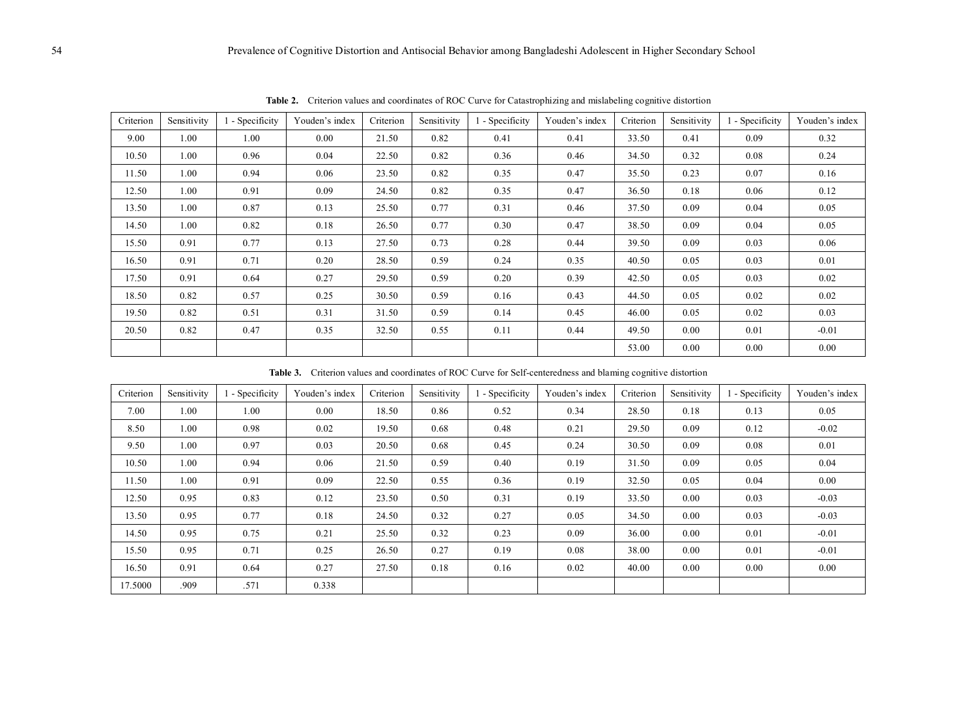| Criterion | Sensitivity | 1 - Specificity | Youden's index | Criterion | Sensitivity | 1 - Specificity | Youden's index | Criterion | Sensitivity | 1 - Specificity | Youden's index |
|-----------|-------------|-----------------|----------------|-----------|-------------|-----------------|----------------|-----------|-------------|-----------------|----------------|
| 9.00      | 1.00        | 1.00            | 0.00           | 21.50     | 0.82        | 0.41            | 0.41           | 33.50     | 0.41        | 0.09            | 0.32           |
| 10.50     | 1.00        | 0.96            | 0.04           | 22.50     | 0.82        | 0.36            | 0.46           | 34.50     | 0.32        | 0.08            | 0.24           |
| 11.50     | 1.00        | 0.94            | 0.06           | 23.50     | 0.82        | 0.35            | 0.47           | 35.50     | 0.23        | 0.07            | 0.16           |
| 12.50     | 1.00        | 0.91            | 0.09           | 24.50     | 0.82        | 0.35            | 0.47           | 36.50     | 0.18        | 0.06            | 0.12           |
| 13.50     | 1.00        | 0.87            | 0.13           | 25.50     | 0.77        | 0.31            | 0.46           | 37.50     | 0.09        | 0.04            | 0.05           |
| 14.50     | 1.00        | 0.82            | 0.18           | 26.50     | 0.77        | 0.30            | 0.47           | 38.50     | 0.09        | 0.04            | 0.05           |
| 15.50     | 0.91        | 0.77            | 0.13           | 27.50     | 0.73        | 0.28            | 0.44           | 39.50     | 0.09        | 0.03            | 0.06           |
| 16.50     | 0.91        | 0.71            | 0.20           | 28.50     | 0.59        | 0.24            | 0.35           | 40.50     | 0.05        | 0.03            | 0.01           |
| 17.50     | 0.91        | 0.64            | 0.27           | 29.50     | 0.59        | 0.20            | 0.39           | 42.50     | 0.05        | 0.03            | 0.02           |
| 18.50     | 0.82        | 0.57            | 0.25           | 30.50     | 0.59        | 0.16            | 0.43           | 44.50     | 0.05        | 0.02            | 0.02           |
| 19.50     | 0.82        | 0.51            | 0.31           | 31.50     | 0.59        | 0.14            | 0.45           | 46.00     | 0.05        | 0.02            | 0.03           |
| 20.50     | 0.82        | 0.47            | 0.35           | 32.50     | 0.55        | 0.11            | 0.44           | 49.50     | 0.00        | 0.01            | $-0.01$        |
|           |             |                 |                |           |             |                 |                | 53.00     | 0.00        | 0.00            | 0.00           |

**Table 2.** Criterion values and coordinates of ROC Curve for Catastrophizing and mislabeling cognitive distortion

**Table 3.** Criterion values and coordinates of ROC Curve for Self-centeredness and blaming cognitive distortion

| Criterion | Sensitivity | - Specificity | Youden's index | Criterion | Sensitivity | - Specificity | Youden's index | Criterion | Sensitivity | - Specificity | Youden's index |
|-----------|-------------|---------------|----------------|-----------|-------------|---------------|----------------|-----------|-------------|---------------|----------------|
| 7.00      | 1.00        | 1.00          | 0.00           | 18.50     | 0.86        | 0.52          | 0.34           | 28.50     | 0.18        | 0.13          | 0.05           |
| 8.50      | 1.00        | 0.98          | 0.02           | 19.50     | 0.68        | 0.48          | 0.21           | 29.50     | 0.09        | 0.12          | $-0.02$        |
| 9.50      | 1.00        | 0.97          | 0.03           | 20.50     | 0.68        | 0.45          | 0.24           | 30.50     | 0.09        | 0.08          | 0.01           |
| 10.50     | 1.00        | 0.94          | 0.06           | 21.50     | 0.59        | 0.40          | 0.19           | 31.50     | 0.09        | 0.05          | 0.04           |
| 11.50     | 1.00        | 0.91          | 0.09           | 22.50     | 0.55        | 0.36          | 0.19           | 32.50     | 0.05        | 0.04          | 0.00           |
| 12.50     | 0.95        | 0.83          | 0.12           | 23.50     | 0.50        | 0.31          | 0.19           | 33.50     | 0.00        | 0.03          | $-0.03$        |
| 13.50     | 0.95        | 0.77          | 0.18           | 24.50     | 0.32        | 0.27          | 0.05           | 34.50     | 0.00        | 0.03          | $-0.03$        |
| 14.50     | 0.95        | 0.75          | 0.21           | 25.50     | 0.32        | 0.23          | 0.09           | 36.00     | 0.00        | 0.01          | $-0.01$        |
| 15.50     | 0.95        | 0.71          | 0.25           | 26.50     | 0.27        | 0.19          | 0.08           | 38.00     | 0.00        | 0.01          | $-0.01$        |
| 16.50     | 0.91        | 0.64          | 0.27           | 27.50     | 0.18        | 0.16          | 0.02           | 40.00     | 0.00        | 0.00          | 0.00           |
| 17.5000   | .909        | .571          | 0.338          |           |             |               |                |           |             |               |                |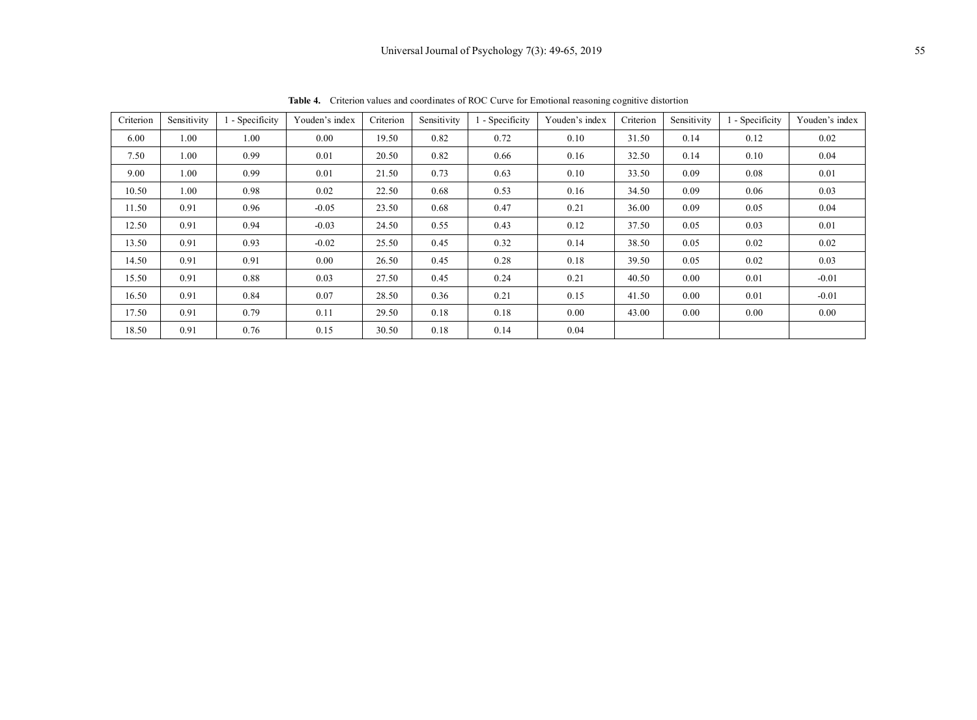| Criterion | Sensitivity | 1 - Specificity | Youden's index | Criterion | Sensitivity | 1 - Specificity | Youden's index | Criterion | Sensitivity | 1 - Specificity | Youden's index |
|-----------|-------------|-----------------|----------------|-----------|-------------|-----------------|----------------|-----------|-------------|-----------------|----------------|
| 6.00      | 1.00        | 1.00            | 0.00           | 19.50     | 0.82        | 0.72            | 0.10           | 31.50     | 0.14        | 0.12            | 0.02           |
| 7.50      | 1.00        | 0.99            | 0.01           | 20.50     | 0.82        | 0.66            | 0.16           | 32.50     | 0.14        | 0.10            | 0.04           |
| 9.00      | 1.00        | 0.99            | 0.01           | 21.50     | 0.73        | 0.63            | 0.10           | 33.50     | 0.09        | 0.08            | 0.01           |
| 10.50     | 1.00        | 0.98            | 0.02           | 22.50     | 0.68        | 0.53            | 0.16           | 34.50     | 0.09        | 0.06            | 0.03           |
| 11.50     | 0.91        | 0.96            | $-0.05$        | 23.50     | 0.68        | 0.47            | 0.21           | 36.00     | 0.09        | 0.05            | 0.04           |
| 12.50     | 0.91        | 0.94            | $-0.03$        | 24.50     | 0.55        | 0.43            | 0.12           | 37.50     | 0.05        | 0.03            | 0.01           |
| 13.50     | 0.91        | 0.93            | $-0.02$        | 25.50     | 0.45        | 0.32            | 0.14           | 38.50     | 0.05        | 0.02            | 0.02           |
| 14.50     | 0.91        | 0.91            | 0.00           | 26.50     | 0.45        | 0.28            | 0.18           | 39.50     | 0.05        | 0.02            | 0.03           |
| 15.50     | 0.91        | 0.88            | 0.03           | 27.50     | 0.45        | 0.24            | 0.21           | 40.50     | 0.00        | 0.01            | $-0.01$        |
| 16.50     | 0.91        | 0.84            | 0.07           | 28.50     | 0.36        | 0.21            | 0.15           | 41.50     | 0.00        | 0.01            | $-0.01$        |
| 17.50     | 0.91        | 0.79            | 0.11           | 29.50     | 0.18        | 0.18            | 0.00           | 43.00     | 0.00        | 0.00            | 0.00           |
| 18.50     | 0.91        | 0.76            | 0.15           | 30.50     | 0.18        | 0.14            | 0.04           |           |             |                 |                |

**Table 4.** Criterion values and coordinates of ROC Curve for Emotional reasoning cognitive distortion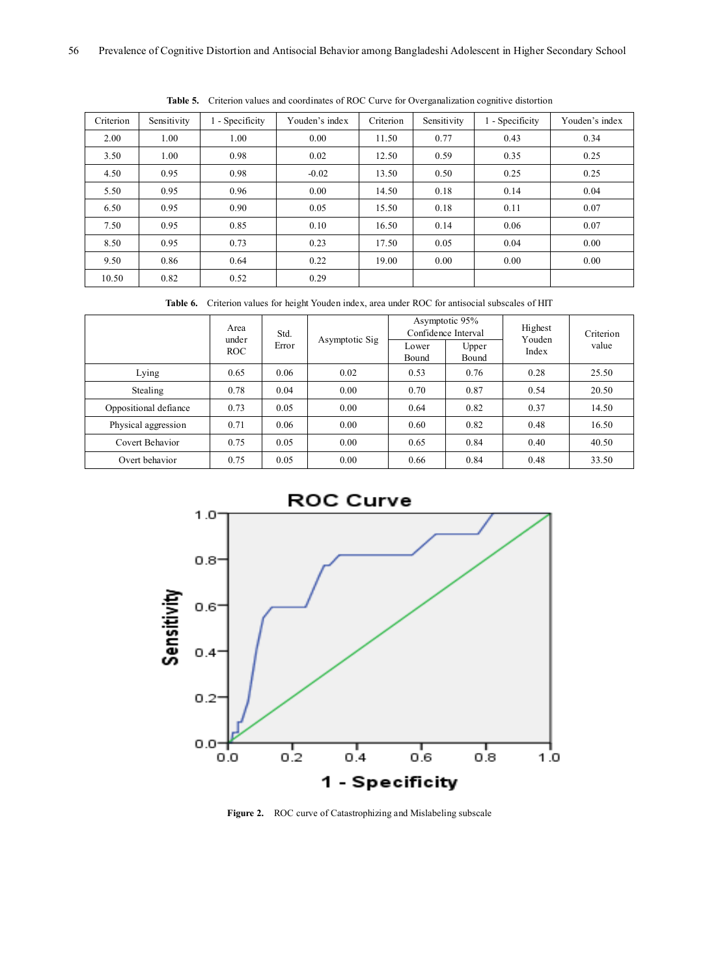| Criterion | Sensitivity | 1 - Specificity | Youden's index | Criterion | Sensitivity | 1 - Specificity | Youden's index |
|-----------|-------------|-----------------|----------------|-----------|-------------|-----------------|----------------|
| 2.00      | 1.00        | 1.00            | 0.00           | 11.50     | 0.77        | 0.43            | 0.34           |
| 3.50      | 1.00        | 0.98            | 0.02           | 12.50     | 0.59        | 0.35            | 0.25           |
| 4.50      | 0.95        | 0.98            | $-0.02$        | 13.50     | 0.50        | 0.25            | 0.25           |
| 5.50      | 0.95        | 0.96            | 0.00           | 14.50     | 0.18        | 0.14            | 0.04           |
| 6.50      | 0.95        | 0.90            | 0.05           | 15.50     | 0.18        | 0.11            | 0.07           |
| 7.50      | 0.95        | 0.85            | 0.10           | 16.50     | 0.14        | 0.06            | 0.07           |
| 8.50      | 0.95        | 0.73            | 0.23           | 17.50     | 0.05        | 0.04            | 0.00           |
| 9.50      | 0.86        | 0.64            | 0.22           | 19.00     | 0.00        | 0.00            | 0.00           |
| 10.50     | 0.82        | 0.52            | 0.29           |           |             |                 |                |

**Table 5.** Criterion values and coordinates of ROC Curve for Overganalization cognitive distortion

**Table 6.** Criterion values for height Youden index, area under ROC for antisocial subscales of HIT

|                       | Area<br>Std.<br>under<br>Error |      | Asymptotic Sig | Lower | Asymptotic 95%<br>Confidence Interval<br>Upper | Highest<br>Youden | Criterion<br>value |
|-----------------------|--------------------------------|------|----------------|-------|------------------------------------------------|-------------------|--------------------|
|                       | <b>ROC</b>                     |      |                | Bound | Bound                                          | Index             |                    |
| Lying                 | 0.65                           | 0.06 | 0.02           | 0.53  | 0.76                                           | 0.28              | 25.50              |
| Stealing              | 0.78                           | 0.04 | 0.00           | 0.70  | 0.87                                           | 0.54              | 20.50              |
| Oppositional defiance | 0.73                           | 0.05 | 0.00           | 0.64  | 0.82                                           | 0.37              | 14.50              |
| Physical aggression   | 0.71                           | 0.06 | 0.00           | 0.60  | 0.82                                           | 0.48              | 16.50              |
| Covert Behavior       | 0.75                           | 0.05 | 0.00           | 0.65  | 0.84                                           | 0.40              | 40.50              |
| Overt behavior        | 0.75                           | 0.05 | 0.00           | 0.66  | 0.84                                           | 0.48              | 33.50              |



**Figure 2.** ROC curve of Catastrophizing and Mislabeling subscale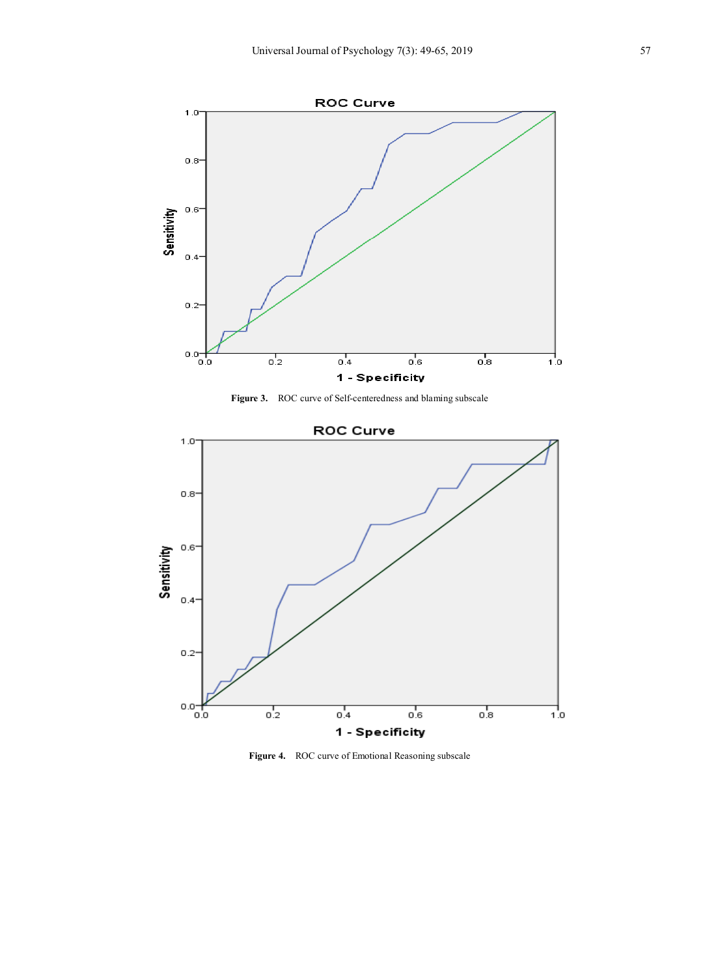





**Figure 4.** ROC curve of Emotional Reasoning subscale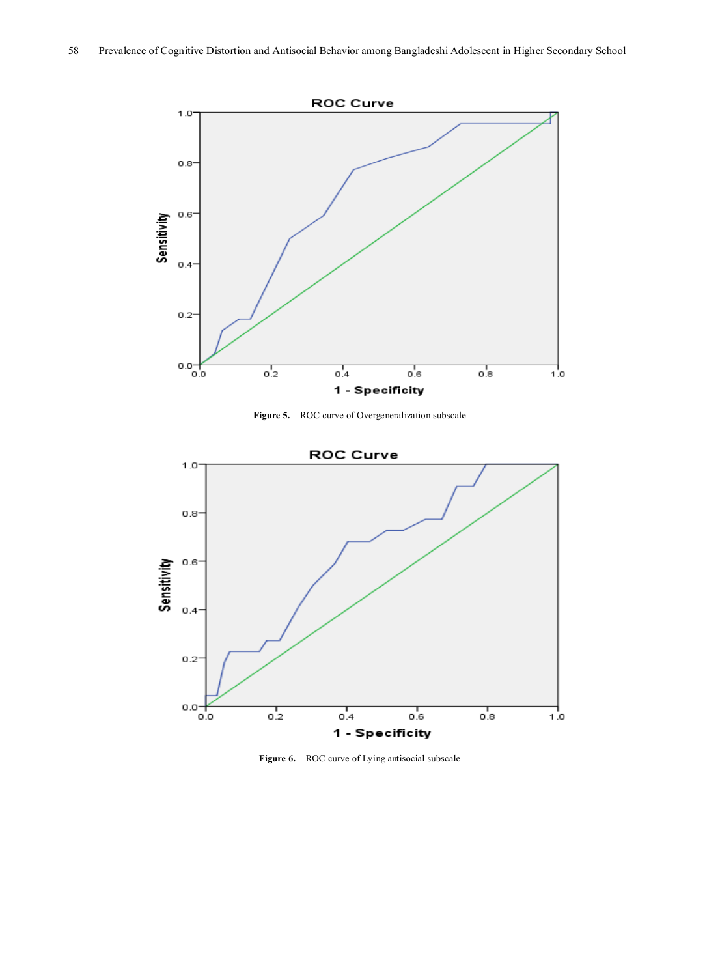

**Figure 5.** ROC curve of Overgeneralization subscale



Figure 6. ROC curve of Lying antisocial subscale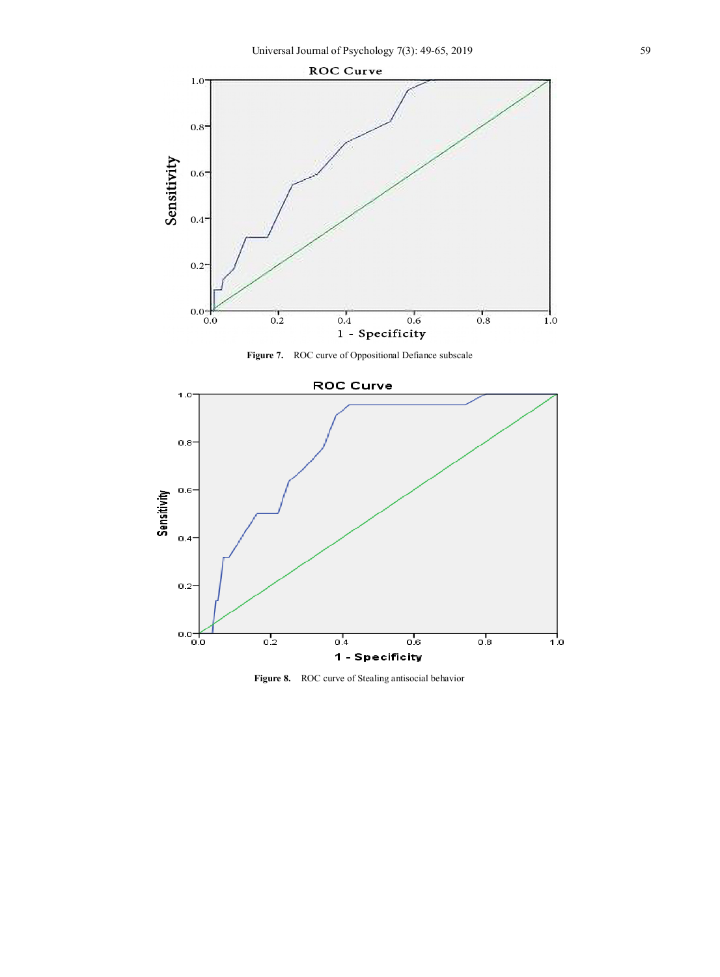

**Figure 7.** ROC curve of Oppositional Defiance subscale



**Figure 8.** ROC curve of Stealing antisocial behavior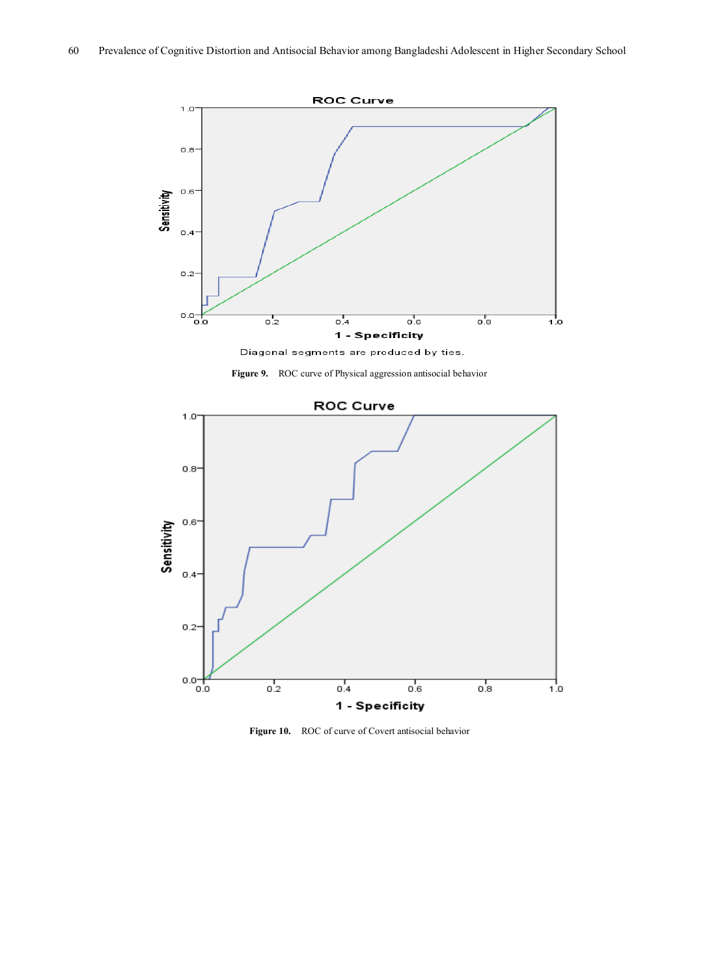

Diagonal segments are produced by ties.





**Figure 10.** ROC of curve of Covert antisocial behavior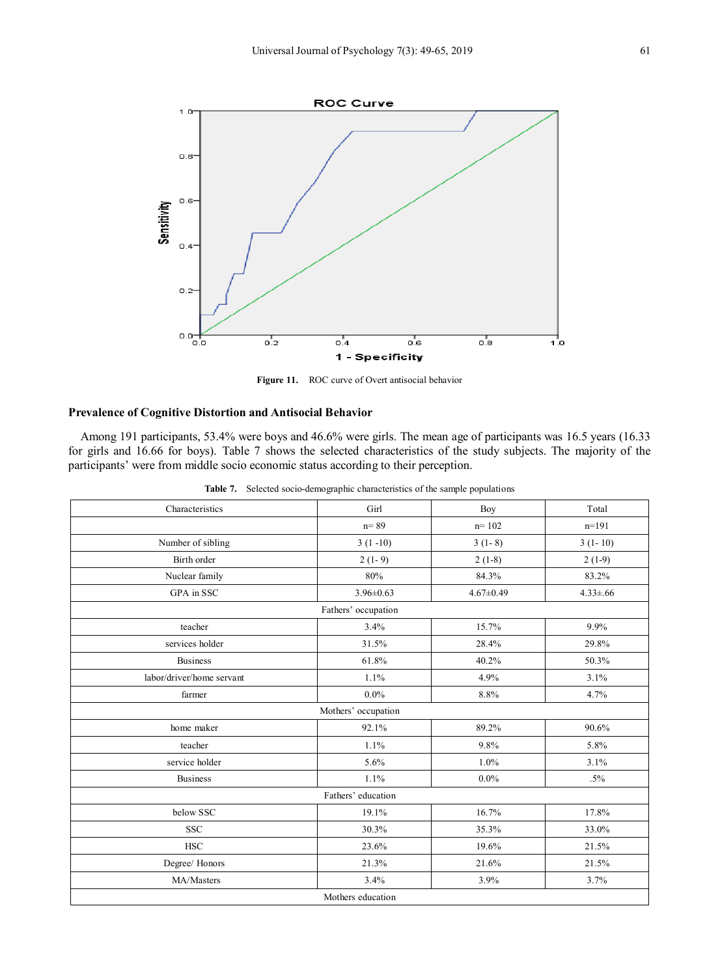

**Figure 11.** ROC curve of Overt antisocial behavior

#### **Prevalence of Cognitive Distortion and Antisocial Behavior**

Among 191 participants, 53.4% were boys and 46.6% were girls. The mean age of participants was 16.5 years (16.33 for girls and 16.66 for boys). Table 7 shows the selected characteristics of the study subjects. The majority of the participants' were from middle socio economic status according to their perception.

**Table 7.** Selected socio-demographic characteristics of the sample populations

| Characteristics           | Girl                | Boy             | Total          |  |  |  |  |  |  |
|---------------------------|---------------------|-----------------|----------------|--|--|--|--|--|--|
|                           | $n = 89$            | $n = 102$       | $n=191$        |  |  |  |  |  |  |
| Number of sibling         | $3(1-10)$           | $3(1-8)$        | $3(1-10)$      |  |  |  |  |  |  |
| Birth order               | $2(1-9)$            | $2(1-8)$        | $2(1-9)$       |  |  |  |  |  |  |
| Nuclear family            | 80%                 | 84.3%           | 83.2%          |  |  |  |  |  |  |
| GPA in SSC                | $3.96 \pm 0.63$     | $4.67 \pm 0.49$ | $4.33 \pm .66$ |  |  |  |  |  |  |
| Fathers' occupation       |                     |                 |                |  |  |  |  |  |  |
| teacher                   | 3.4%                | 15.7%           | 9.9%           |  |  |  |  |  |  |
| services holder           | 31.5%               | 28.4%           | 29.8%          |  |  |  |  |  |  |
| Business                  | 61.8%               | 40.2%           | 50.3%          |  |  |  |  |  |  |
| labor/driver/home servant | 1.1%                | 4.9%            | 3.1%           |  |  |  |  |  |  |
| farmer                    | $0.0\%$             | 8.8%            | 4.7%           |  |  |  |  |  |  |
|                           | Mothers' occupation |                 |                |  |  |  |  |  |  |
| home maker                | 92.1%               | 89.2%           | 90.6%          |  |  |  |  |  |  |
| teacher                   | 1.1%                | 9.8%            | 5.8%           |  |  |  |  |  |  |
| service holder            | 5.6%                | 1.0%            | 3.1%           |  |  |  |  |  |  |
| <b>Business</b>           | 1.1%                | $0.0\%$         | $.5\%$         |  |  |  |  |  |  |
|                           | Fathers' education  |                 |                |  |  |  |  |  |  |
| below SSC                 | 19.1%               | 16.7%           | 17.8%          |  |  |  |  |  |  |
| <b>SSC</b>                | 30.3%               | 35.3%           | 33.0%          |  |  |  |  |  |  |
| <b>HSC</b>                | 23.6%               | 19.6%           | 21.5%          |  |  |  |  |  |  |
| Degree/ Honors            | 21.3%               | 21.6%           | 21.5%          |  |  |  |  |  |  |
| MA/Masters                | 3.4%                | 3.9%            | 3.7%           |  |  |  |  |  |  |
|                           | Mothers education   |                 |                |  |  |  |  |  |  |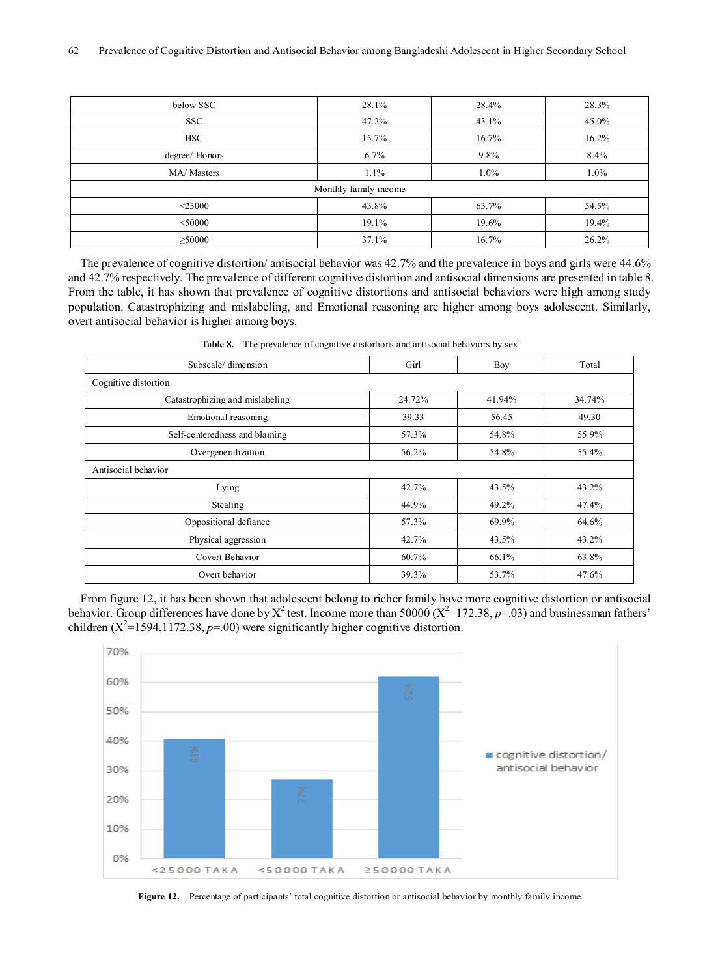| below SSC             | 28.1% | 28.4%   | 28.3%   |  |  |  |  |  |
|-----------------------|-------|---------|---------|--|--|--|--|--|
| <b>SSC</b>            | 47.2% | 43.1%   | 45.0%   |  |  |  |  |  |
| <b>HSC</b>            | 15.7% | 16.7%   | 16.2%   |  |  |  |  |  |
| degree/ Honors        | 6.7%  | 9.8%    | 8.4%    |  |  |  |  |  |
| MA/ Masters           | 1.1%  | $1.0\%$ | $1.0\%$ |  |  |  |  |  |
| Monthly family income |       |         |         |  |  |  |  |  |
| $<$ 25000             | 43.8% | 63.7%   | 54.5%   |  |  |  |  |  |
| $<$ 50000             | 19.1% | 19.6%   | 19.4%   |  |  |  |  |  |
| $\geq$ 50000          | 37.1% | 16.7%   | 26.2%   |  |  |  |  |  |

The prevalence of cognitive distortion/ antisocial behavior was 42.7% and the prevalence in boys and girls were 44.6% and 42.7% respectively. The prevalence of different cognitive distortion and antisocial dimensions are presented in table 8. From the table, it has shown that prevalence of cognitive distortions and antisocial behaviors were high among study population. Catastrophizing and mislabeling, and Emotional reasoning are higher among boys adolescent. Similarly, overt antisocial behavior is higher among boys.

| Subscale/dimension              | Girl   | Boy    | Total  |  |  |  |
|---------------------------------|--------|--------|--------|--|--|--|
| Cognitive distortion            |        |        |        |  |  |  |
| Catastrophizing and mislabeling | 24.72% | 41.94% | 34.74% |  |  |  |
| Emotional reasoning             | 39.33  | 56.45  | 49.30  |  |  |  |
| Self-centeredness and blaming   | 57.3%  | 54.8%  | 55.9%  |  |  |  |
| Overgeneralization              | 56.2%  | 54.8%  | 55.4%  |  |  |  |
| Antisocial behavior             |        |        |        |  |  |  |
| Lying                           | 42.7%  | 43.5%  | 43.2%  |  |  |  |
| Stealing                        | 44.9%  | 49.2%  | 47.4%  |  |  |  |
| Oppositional defiance           | 57.3%  | 69.9%  | 64.6%  |  |  |  |
| Physical aggression             | 42.7%  | 43.5%  | 43.2%  |  |  |  |
| Covert Behavior                 | 60.7%  | 66.1%  | 63.8%  |  |  |  |
| Overt behavior                  | 39.3%  | 53.7%  | 47.6%  |  |  |  |

**Table 8.** The prevalence of cognitive distortions and antisocial behaviors by sex

From figure 12, it has been shown that adolescent belong to richer family have more cognitive distortion or antisocial behavior. Group differences have done by  $X^2$  test. Income more than 50000 ( $X^2$ =172.38,  $p$ =.03) and businessman fathers' children  $(X^2=1594.1172.38, p=00)$  were significantly higher cognitive distortion.



**Figure 12.** Percentage of participants' total cognitive distortion or antisocial behavior by monthly family income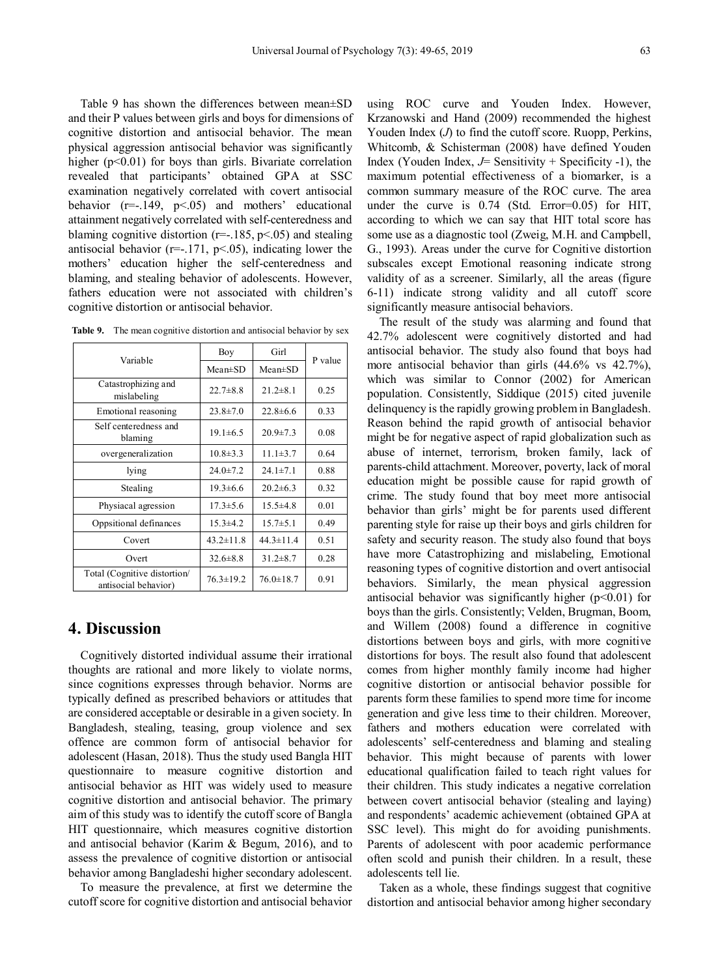Table 9 has shown the differences between mean±SD and their P values between girls and boys for dimensions of cognitive distortion and antisocial behavior. The mean physical aggression antisocial behavior was significantly higher  $(p<0.01)$  for boys than girls. Bivariate correlation revealed that participants' obtained GPA at SSC examination negatively correlated with covert antisocial behavior  $(r=-149, p<0.05)$  and mothers' educational attainment negatively correlated with self-centeredness and blaming cognitive distortion ( $r=-185$ ,  $p<.05$ ) and stealing antisocial behavior ( $r=-171$ ,  $p<.05$ ), indicating lower the mothers' education higher the self-centeredness and blaming, and stealing behavior of adolescents. However, fathers education were not associated with children's cognitive distortion or antisocial behavior.

| Table 9. |  | The mean cognitive distortion and antisocial behavior by sex |  |  |
|----------|--|--------------------------------------------------------------|--|--|
|          |  |                                                              |  |  |

|                                                      | Boy             | Girl            | P value |  |
|------------------------------------------------------|-----------------|-----------------|---------|--|
| Variable                                             | $Mean \pm SD$   | $Mean \pm SD$   |         |  |
| Catastrophizing and<br>mislabeling                   | $22.7\pm8.8$    | $21.2 \pm 8.1$  | 0.25    |  |
| Emotional reasoning                                  | $23.8 \pm 7.0$  | $22.8\pm 6.6$   | 0.33    |  |
| Self centeredness and<br>blaming                     | $19.1 \pm 6.5$  | $20.9 \pm 7.3$  | 0.08    |  |
| overgeneralization                                   | $10.8\pm3.3$    | $11.1\pm3.7$    | 0.64    |  |
| lying                                                | $24.0 \pm 7.2$  | $24.1 \pm 7.1$  | 0.88    |  |
| Stealing                                             | $19.3 \pm 6.6$  | $20.2\pm 6.3$   | 0.32    |  |
| Physiacal agression                                  | $17.3 \pm 5.6$  | $15.5\pm4.8$    | 0.01    |  |
| Oppsitional definances                               | $15.3 \pm 4.2$  | $15.7 \pm 5.1$  | 0.49    |  |
| Covert                                               | $43.2 \pm 11.8$ | $44.3 \pm 11.4$ | 0.51    |  |
| Overt                                                | $32.6 \pm 8.8$  | $31.2 \pm 8.7$  | 0.28    |  |
| Total (Cognitive distortion/<br>antisocial behavior) | $76.3 \pm 19.2$ | $76.0 \pm 18.7$ | 0.91    |  |

## **4. Discussion**

Cognitively distorted individual assume their irrational thoughts are rational and more likely to violate norms, since cognitions expresses through behavior. Norms are typically defined as prescribed behaviors or attitudes that are considered acceptable or desirable in a given society. In Bangladesh, stealing, teasing, group violence and sex offence are common form of antisocial behavior for adolescent (Hasan, 2018). Thus the study used Bangla HIT questionnaire to measure cognitive distortion and antisocial behavior as HIT was widely used to measure cognitive distortion and antisocial behavior. The primary aim of this study was to identify the cutoff score of Bangla HIT questionnaire, which measures cognitive distortion and antisocial behavior (Karim & Begum, 2016), and to assess the prevalence of cognitive distortion or antisocial behavior among Bangladeshi higher secondary adolescent.

To measure the prevalence, at first we determine the cutoff score for cognitive distortion and antisocial behavior using ROC curve and Youden Index. However, Krzanowski and Hand (2009) recommended the highest Youden Index (*J*) to find the cutoff score. Ruopp, Perkins, Whitcomb, & Schisterman (2008) have defined Youden Index (Youden Index, *J*= Sensitivity + Specificity -1), the maximum potential effectiveness of a biomarker, is a common summary measure of the ROC curve. The area under the curve is 0.74 (Std. Error=0.05) for HIT, according to which we can say that HIT total score has some use as a diagnostic tool (Zweig, M.H. and Campbell, G., 1993). Areas under the curve for Cognitive distortion subscales except Emotional reasoning indicate strong validity of as a screener. Similarly, all the areas (figure 6-11) indicate strong validity and all cutoff score significantly measure antisocial behaviors.

The result of the study was alarming and found that 42.7% adolescent were cognitively distorted and had antisocial behavior. The study also found that boys had more antisocial behavior than girls  $(44.6\% \text{ vs } 42.7\%)$ , which was similar to Connor (2002) for American population. Consistently, Siddique (2015) cited juvenile delinquency is the rapidly growing problem in Bangladesh. Reason behind the rapid growth of antisocial behavior might be for negative aspect of rapid globalization such as abuse of internet, terrorism, broken family, lack of parents-child attachment. Moreover, poverty, lack of moral education might be possible cause for rapid growth of crime. The study found that boy meet more antisocial behavior than girls' might be for parents used different parenting style for raise up their boys and girls children for safety and security reason. The study also found that boys have more Catastrophizing and mislabeling, Emotional reasoning types of cognitive distortion and overt antisocial behaviors. Similarly, the mean physical aggression antisocial behavior was significantly higher ( $p<0.01$ ) for boys than the girls. Consistently; Velden, Brugman, Boom, and Willem (2008) found a difference in cognitive distortions between boys and girls, with more cognitive distortions for boys. The result also found that adolescent comes from higher monthly family income had higher cognitive distortion or antisocial behavior possible for parents form these families to spend more time for income generation and give less time to their children. Moreover, fathers and mothers education were correlated with adolescents' self-centeredness and blaming and stealing behavior. This might because of parents with lower educational qualification failed to teach right values for their children. This study indicates a negative correlation between covert antisocial behavior (stealing and laying) and respondents' academic achievement (obtained GPA at SSC level). This might do for avoiding punishments. Parents of adolescent with poor academic performance often scold and punish their children. In a result, these adolescents tell lie.

Taken as a whole, these findings suggest that cognitive distortion and antisocial behavior among higher secondary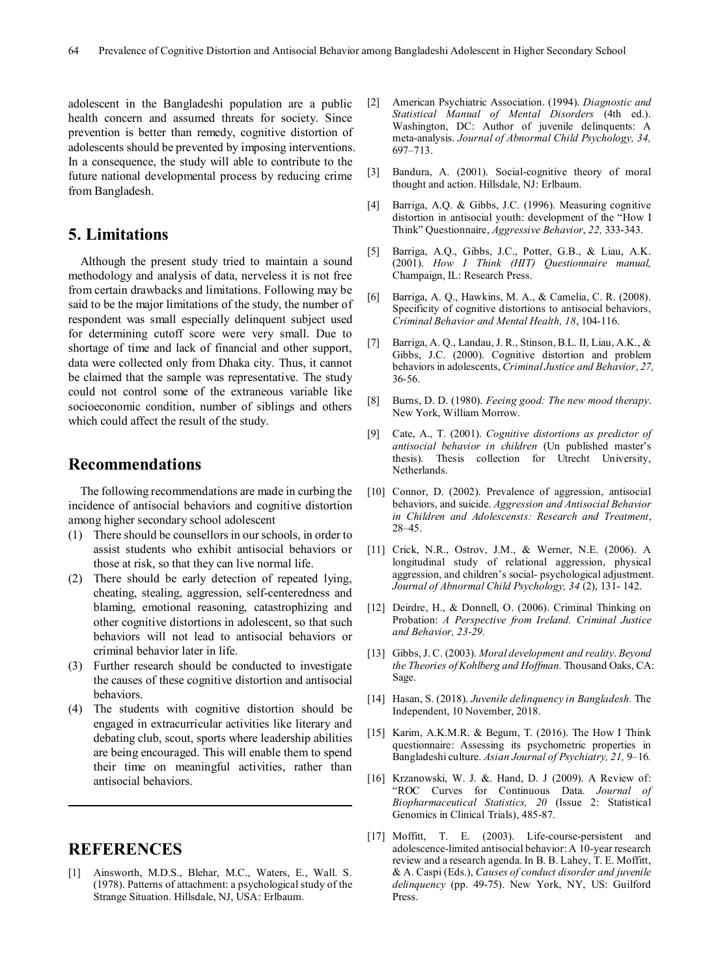adolescent in the Bangladeshi population are a public health concern and assumed threats for society. Since prevention is better than remedy, cognitive distortion of adolescents should be prevented by imposing interventions. In a consequence, the study will able to contribute to the future national developmental process by reducing crime from Bangladesh.

## **5. Limitations**

Although the present study tried to maintain a sound methodology and analysis of data, nerveless it is not free from certain drawbacks and limitations. Following may be said to be the major limitations of the study, the number of respondent was small especially delinquent subject used for determining cutoff score were very small. Due to shortage of time and lack of financial and other support, data were collected only from Dhaka city. Thus, it cannot be claimed that the sample was representative. The study could not control some of the extraneous variable like socioeconomic condition, number of siblings and others which could affect the result of the study.

## **Recommendations**

The following recommendations are made in curbing the incidence of antisocial behaviors and cognitive distortion among higher secondary school adolescent

- (1) There should be counsellors in our schools, in order to assist students who exhibit antisocial behaviors or those at risk, so that they can live normal life.
- (2) There should be early detection of repeated lying, cheating, stealing, aggression, self-centeredness and blaming, emotional reasoning, catastrophizing and other cognitive distortions in adolescent, so that such behaviors will not lead to antisocial behaviors or criminal behavior later in life.
- (3) Further research should be conducted to investigate the causes of these cognitive distortion and antisocial behaviors.
- (4) The students with cognitive distortion should be engaged in extracurricular activities like literary and debating club, scout, sports where leadership abilities are being encouraged. This will enable them to spend their time on meaningful activities, rather than antisocial behaviors.

## **REFERENCES**

[1] Ainsworth, M.D.S., Blehar, M.C., Waters, E., Wall. S. (1978). Patterns of attachment: a psychological study of the Strange Situation. Hillsdale, NJ, USA: Erlbaum.

- [2] American Psychiatric Association. (1994). *Diagnostic and Statistical Manual of Mental Disorders* (4th ed.). Washington, DC: Author of juvenile delinquents: A meta-analysis. *Journal of Abnormal Child Psychology, 34,*  697–713.
- [3] Bandura, A. (2001). Social-cognitive theory of moral thought and action. Hillsdale, NJ: Erlbaum.
- [4] Barriga, A.Q. & Gibbs, J.C. (1996). Measuring cognitive distortion in antisocial youth: development of the "How I Think" Questionnaire, *Aggressive Behavior*, *22,* 333-343.
- [5] Barriga, A.Q., Gibbs, J.C., Potter, G.B., & Liau, A.K. (2001). *How I Think (HIT) Questionnaire manual,*  Champaign, IL: Research Press.
- [6] Barriga, A. Q., Hawkins, M. A., & Camelia, C. R. (2008). Specificity of cognitive distortions to antisocial behaviors, *Criminal Behavior and Mental Health, 18*, 104-116.
- [7] Barriga, A. Q., Landau, J. R., Stinson, B.L. II, Liau, A.K., & Gibbs, J.C. (2000). Cognitive distortion and problem behaviors in adolescents, *Criminal Justice and Behavior*, *27,*  36-56.
- [8] Burns, D. D. (1980). *Feeing good: The new mood therapy*. New York, William Morrow.
- [9] Cate, A., T. (2001). *Cognitive distortions as predictor of antisocial behavior in children* (Un published master's thesis). Thesis collection for Utrecht University, Netherlands.
- [10] Connor, D. (2002). Prevalence of aggression, antisocial behaviors, and suicide. *Aggression and Antisocial Behavior in Children and Adolescensts: Research and Treatment*, 28–45.
- [11] Crick, N.R., Ostrov, J.M., & Werner, N.E. (2006). A longitudinal study of relational aggression, physical aggression, and children's social- psychological adjustment. *Journal of Abnormal Child Psychology, 34* (2), 131- 142.
- [12] Deirdre, H., & Donnell, O. (2006). Criminal Thinking on Probation: *A Perspective from Ireland. Criminal Justice and Behavior, 23-29.*
- [13] Gibbs, J. C. (2003). *Moral development and reality*. *Beyond the Theories of Kohlberg and Hoffman.* Thousand Oaks, CA: Sage.
- [14] Hasan, S. (2018). *Juvenile delinquency in Bangladesh.* The Independent, 10 November, 2018.
- [15] Karim, A.K.M.R. & Begum, T. (2016). The How I Think questionnaire: Assessing its psychometric properties in Bangladeshi culture. *Asian Journal of Psychiatry, 21,* 9–16*.*
- [16] Krzanowski, W. J. &. Hand, D. J (2009). A Review of: "ROC Curves for Continuous Data. *Journal of Biopharmaceutical Statistics, 20* (Issue 2: Statistical Genomics in Clinical Trials), 485-87.
- [17] Moffitt, T. E. (2003). Life-course-persistent and adolescence-limited antisocial behavior: A 10-year research review and a research agenda. In B. B. Lahey, T. E. Moffitt, & A. Caspi (Eds.), *Causes of conduct disorder and juvenile delinquency* (pp. 49-75). New York, NY, US: Guilford Press.